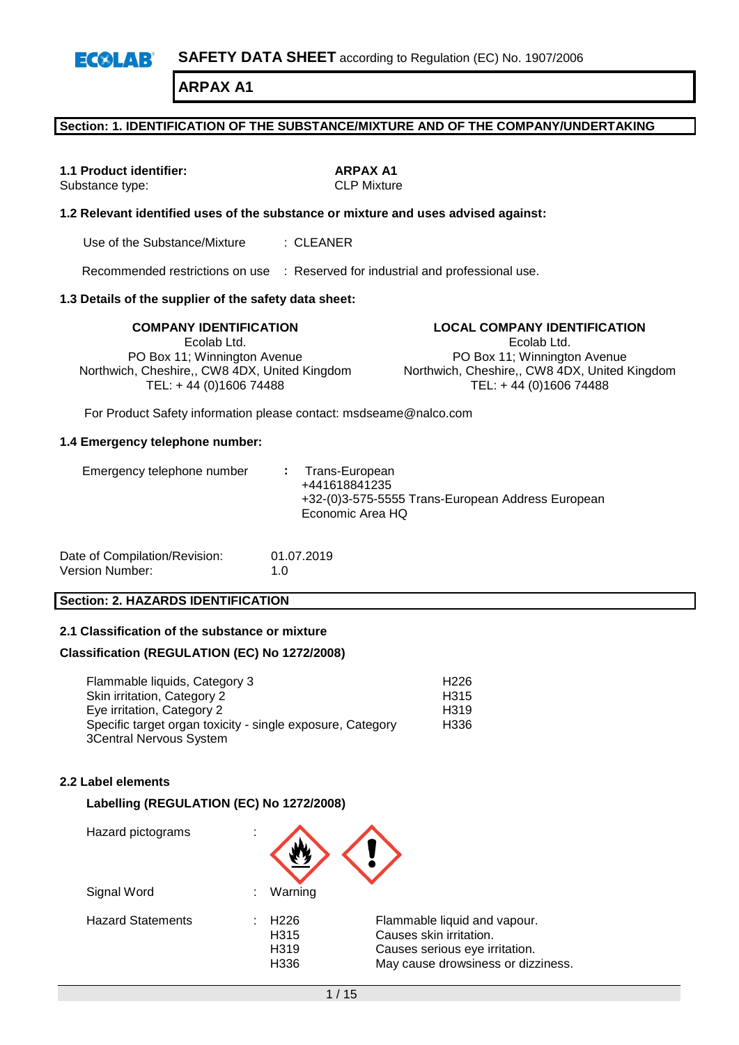**SAFETY DATA SHEET** according to Regulation (EC) No. 1907/2006  $E(X|AB)$ 

**ARPAX A1**

### **Section: 1. IDENTIFICATION OF THE SUBSTANCE/MIXTURE AND OF THE COMPANY/UNDERTAKING**

**1.1 Product identifier: ARPAX A1**<br> **ARPAX A1**<br> **ARPAX A1**<br> **CLP Mixture** Substance type:

### **1.2 Relevant identified uses of the substance or mixture and uses advised against:**

Use of the Substance/Mixture : CLEANER

Recommended restrictions on use : Reserved for industrial and professional use.

### **1.3 Details of the supplier of the safety data sheet:**

Ecolab Ltd. PO Box 11; Winnington Avenue Northwich, Cheshire,, CW8 4DX, United Kingdom TEL: + 44 (0)1606 74488

**COMPANY IDENTIFICATION LOCAL COMPANY IDENTIFICATION** Ecolab Ltd. PO Box 11; Winnington Avenue Northwich, Cheshire,, CW8 4DX, United Kingdom TEL: + 44 (0)1606 74488

For Product Safety information please contact: msdseame@nalco.com

#### **1.4 Emergency telephone number:**

| +441618841235<br>Economic Area HQ | Emergency telephone number | : Trans-European<br>+32-(0)3-575-5555 Trans-European Address European |
|-----------------------------------|----------------------------|-----------------------------------------------------------------------|
|-----------------------------------|----------------------------|-----------------------------------------------------------------------|

| Date of Compilation/Revision: | 01.07.2019  |
|-------------------------------|-------------|
| Version Number:               | 1. $\Omega$ |

### **Section: 2. HAZARDS IDENTIFICATION**

### **2.1 Classification of the substance or mixture**

#### **Classification (REGULATION (EC) No 1272/2008)**

Flammable liquids, Category 3 H226 Skin irritation, Category 2 H315 Eye irritation, Category 2 H319 Specific target organ toxicity - single exposure, Category 3Central Nervous System H336

### **2.2 Label elements**

### **Labelling (REGULATION (EC) No 1272/2008)**

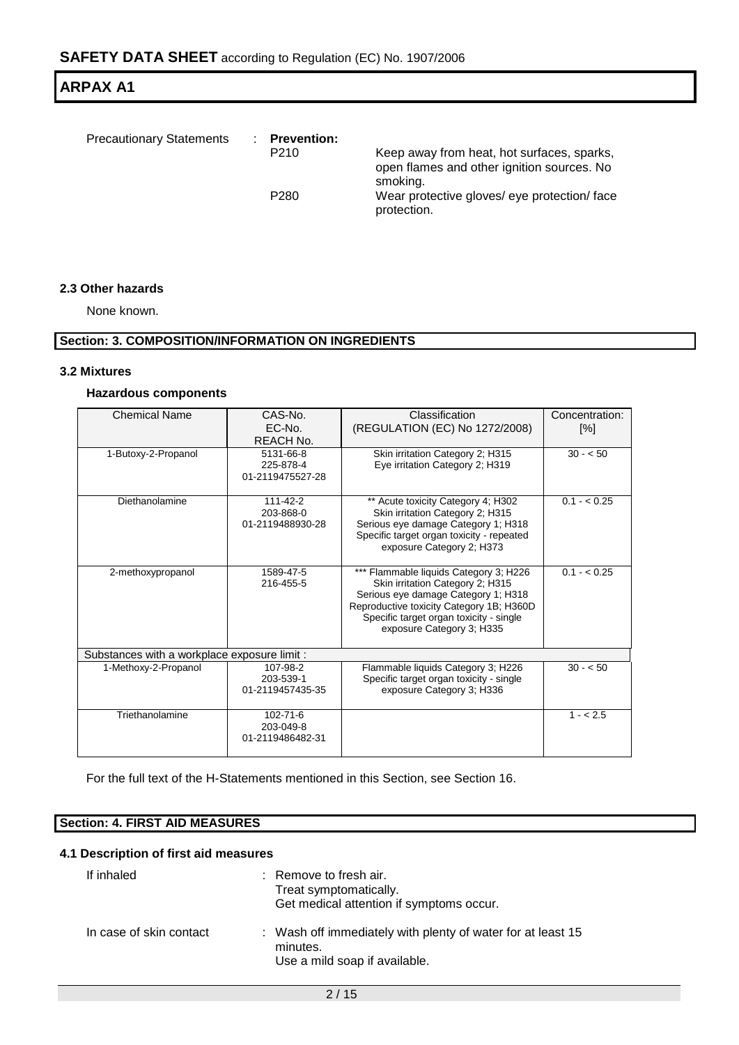| <b>Precautionary Statements</b> | <b>Prevention:</b><br>P <sub>210</sub><br>P <sub>280</sub> | Keep away from heat, hot surfaces, sparks,<br>open flames and other ignition sources. No<br>smoking.<br>Wear protective gloves/ eye protection/face |
|---------------------------------|------------------------------------------------------------|-----------------------------------------------------------------------------------------------------------------------------------------------------|
|                                 |                                                            | protection.                                                                                                                                         |

### **2.3 Other hazards**

None known.

### **Section: 3. COMPOSITION/INFORMATION ON INGREDIENTS**

#### **3.2 Mixtures**

### **Hazardous components**

| <b>Chemical Name</b>                         | CAS-No.<br>EC-No.<br>REACH No.                  | Classification<br>(REGULATION (EC) No 1272/2008)                                                                                                                                                                                      | Concentration:<br>$[\%]$ |  |  |  |  |
|----------------------------------------------|-------------------------------------------------|---------------------------------------------------------------------------------------------------------------------------------------------------------------------------------------------------------------------------------------|--------------------------|--|--|--|--|
| 1-Butoxy-2-Propanol                          | 5131-66-8<br>225-878-4<br>01-2119475527-28      | Skin irritation Category 2; H315<br>Eye irritation Category 2; H319                                                                                                                                                                   | $30 - 50$                |  |  |  |  |
| Diethanolamine                               | 111-42-2<br>203-868-0<br>01-2119488930-28       | ** Acute toxicity Category 4; H302<br>Skin irritation Category 2; H315<br>Serious eye damage Category 1; H318<br>Specific target organ toxicity - repeated<br>exposure Category 2; H373                                               | $0.1 - 0.25$             |  |  |  |  |
| 2-methoxypropanol                            | 1589-47-5<br>216-455-5                          | *** Flammable liquids Category 3; H226<br>Skin irritation Category 2; H315<br>Serious eye damage Category 1; H318<br>Reproductive toxicity Category 1B; H360D<br>Specific target organ toxicity - single<br>exposure Category 3; H335 | $0.1 - < 0.25$           |  |  |  |  |
| Substances with a workplace exposure limit : |                                                 |                                                                                                                                                                                                                                       |                          |  |  |  |  |
| 1-Methoxy-2-Propanol                         | 107-98-2<br>203-539-1<br>01-2119457435-35       | Flammable liquids Category 3; H226<br>Specific target organ toxicity - single<br>exposure Category 3; H336                                                                                                                            | $30 - 50$                |  |  |  |  |
| Triethanolamine                              | $102 - 71 - 6$<br>203-049-8<br>01-2119486482-31 |                                                                                                                                                                                                                                       | $1 - 2.5$                |  |  |  |  |

For the full text of the H-Statements mentioned in this Section, see Section 16.

### **Section: 4. FIRST AID MEASURES**

### **4.1 Description of first aid measures**

| If inhaled              | Remove to fresh air.<br>Treat symptomatically.<br>Get medical attention if symptoms occur.               |
|-------------------------|----------------------------------------------------------------------------------------------------------|
| In case of skin contact | : Wash off immediately with plenty of water for at least 15<br>minutes.<br>Use a mild soap if available. |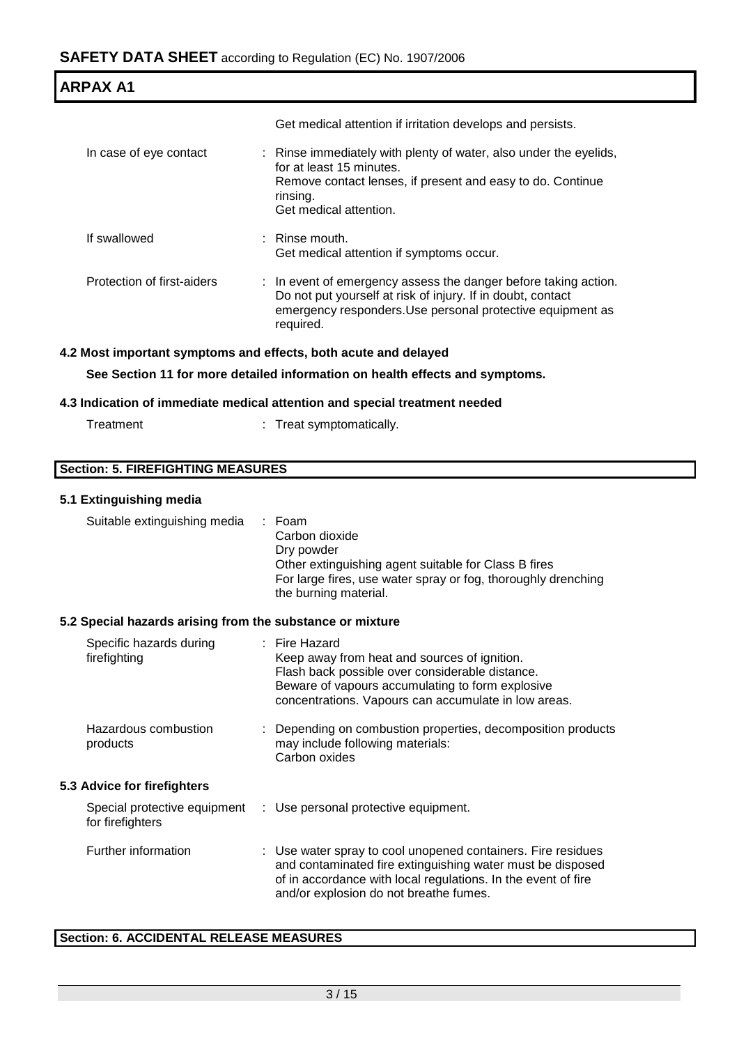| <b>ARPAX A1</b>            |                                                                                                                                                                                                           |  |
|----------------------------|-----------------------------------------------------------------------------------------------------------------------------------------------------------------------------------------------------------|--|
|                            | Get medical attention if irritation develops and persists.                                                                                                                                                |  |
| In case of eye contact     | : Rinse immediately with plenty of water, also under the eyelids,<br>for at least 15 minutes.<br>Remove contact lenses, if present and easy to do. Continue<br>rinsing.<br>Get medical attention.         |  |
| If swallowed               | $\therefore$ Rinse mouth.<br>Get medical attention if symptoms occur.                                                                                                                                     |  |
| Protection of first-aiders | : In event of emergency assess the danger before taking action.<br>Do not put yourself at risk of injury. If in doubt, contact<br>emergency responders. Use personal protective equipment as<br>required. |  |

### **4.2 Most important symptoms and effects, both acute and delayed**

**See Section 11 for more detailed information on health effects and symptoms.**

### **4.3 Indication of immediate medical attention and special treatment needed**

| Treatment | Treat symptomatically. |
|-----------|------------------------|
|-----------|------------------------|

|  | <b>Section: 5. FIREFIGHTING MEASURES</b> |  |
|--|------------------------------------------|--|
|--|------------------------------------------|--|

### **5.1 Extinguishing media**

| Suitable extinguishing media                              | : Foam<br>Carbon dioxide<br>Dry powder<br>Other extinguishing agent suitable for Class B fires<br>For large fires, use water spray or fog, thoroughly drenching<br>the burning material.                                              |
|-----------------------------------------------------------|---------------------------------------------------------------------------------------------------------------------------------------------------------------------------------------------------------------------------------------|
| 5.2 Special hazards arising from the substance or mixture |                                                                                                                                                                                                                                       |
| Specific hazards during<br>firefighting                   | : Fire Hazard<br>Keep away from heat and sources of ignition.<br>Flash back possible over considerable distance.<br>Beware of vapours accumulating to form explosive<br>concentrations. Vapours can accumulate in low areas.          |
| Hazardous combustion<br>products                          | Depending on combustion properties, decomposition products<br>may include following materials:<br>Carbon oxides                                                                                                                       |
| 5.3 Advice for firefighters                               |                                                                                                                                                                                                                                       |
| Special protective equipment<br>for firefighters          | : Use personal protective equipment.                                                                                                                                                                                                  |
| Further information                                       | : Use water spray to cool unopened containers. Fire residues<br>and contaminated fire extinguishing water must be disposed<br>of in accordance with local regulations. In the event of fire<br>and/or explosion do not breathe fumes. |

### **Section: 6. ACCIDENTAL RELEASE MEASURES**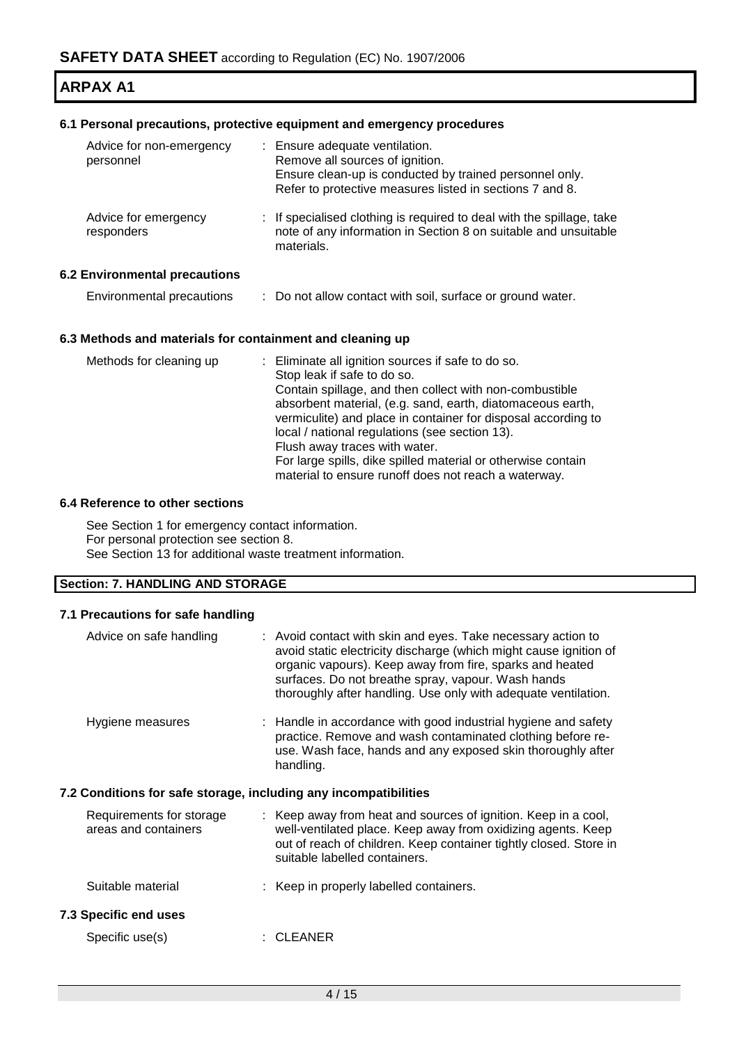### **6.1 Personal precautions, protective equipment and emergency procedures**

| Advice for non-emergency<br>personnel | : Ensure adequate ventilation.<br>Remove all sources of ignition.<br>Ensure clean-up is conducted by trained personnel only.<br>Refer to protective measures listed in sections 7 and 8. |
|---------------------------------------|------------------------------------------------------------------------------------------------------------------------------------------------------------------------------------------|
| Advice for emergency<br>responders    | : If specialised clothing is required to deal with the spillage, take<br>note of any information in Section 8 on suitable and unsuitable<br>materials.                                   |
| <b>6.2 Environmental precautions</b>  |                                                                                                                                                                                          |
| Environmental precautions             | : Do not allow contact with soil, surface or ground water.                                                                                                                               |
|                                       |                                                                                                                                                                                          |

### **6.3 Methods and materials for containment and cleaning up**

| Methods for cleaning up | : Eliminate all ignition sources if safe to do so.                                                                   |
|-------------------------|----------------------------------------------------------------------------------------------------------------------|
|                         | Stop leak if safe to do so.                                                                                          |
|                         | Contain spillage, and then collect with non-combustible                                                              |
|                         | absorbent material, (e.g. sand, earth, diatomaceous earth,                                                           |
|                         | vermiculite) and place in container for disposal according to                                                        |
|                         | local / national regulations (see section 13).                                                                       |
|                         | Flush away traces with water.                                                                                        |
|                         | For large spills, dike spilled material or otherwise contain<br>material to ensure runoff does not reach a waterway. |

### **6.4 Reference to other sections**

See Section 1 for emergency contact information. For personal protection see section 8. See Section 13 for additional waste treatment information.

### **Section: 7. HANDLING AND STORAGE**

### **7.1 Precautions for safe handling**

| Advice on safe handling                                          | : Avoid contact with skin and eyes. Take necessary action to<br>avoid static electricity discharge (which might cause ignition of<br>organic vapours). Keep away from fire, sparks and heated<br>surfaces. Do not breathe spray, vapour. Wash hands<br>thoroughly after handling. Use only with adequate ventilation. |
|------------------------------------------------------------------|-----------------------------------------------------------------------------------------------------------------------------------------------------------------------------------------------------------------------------------------------------------------------------------------------------------------------|
| Hygiene measures                                                 | : Handle in accordance with good industrial hygiene and safety<br>practice. Remove and wash contaminated clothing before re-<br>use. Wash face, hands and any exposed skin thoroughly after<br>handling.                                                                                                              |
| 7.2 Conditions for safe storage, including any incompatibilities |                                                                                                                                                                                                                                                                                                                       |
| Requirements for storage<br>areas and containers                 | : Keep away from heat and sources of ignition. Keep in a cool,<br>well-ventilated place. Keep away from oxidizing agents. Keep<br>out of reach of children. Keep container tightly closed. Store in<br>suitable labelled containers.                                                                                  |
| Suitable material                                                | : Keep in properly labelled containers.                                                                                                                                                                                                                                                                               |
| <b>7.3 Specific end uses</b>                                     |                                                                                                                                                                                                                                                                                                                       |
| Specific use(s)                                                  | <b>CLEANER</b>                                                                                                                                                                                                                                                                                                        |
|                                                                  |                                                                                                                                                                                                                                                                                                                       |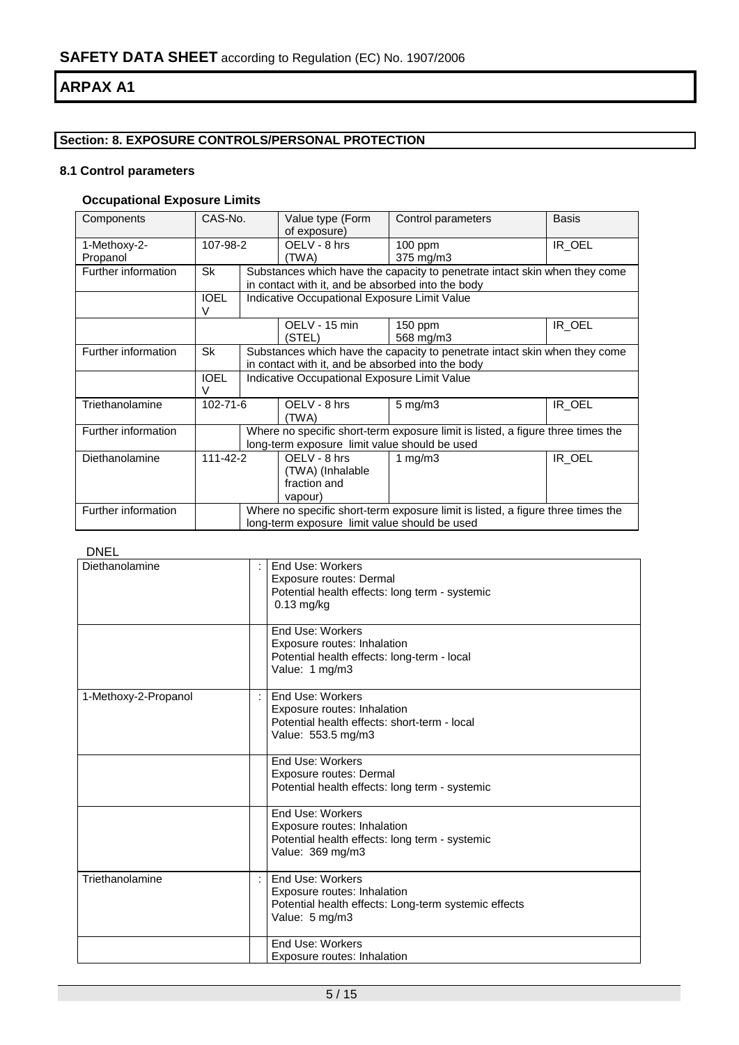### **Section: 8. EXPOSURE CONTROLS/PERSONAL PROTECTION**

### **8.1 Control parameters**

### **Occupational Exposure Limits**

| Components                       | CAS-No.     |                                                   | Value type (Form<br>of exposure)                                           | Control parameters                                                              | <b>Basis</b> |  |  |
|----------------------------------|-------------|---------------------------------------------------|----------------------------------------------------------------------------|---------------------------------------------------------------------------------|--------------|--|--|
|                                  |             |                                                   |                                                                            |                                                                                 |              |  |  |
| 1-Methoxy-2-                     | 107-98-2    |                                                   | OELV - 8 hrs                                                               | $100$ ppm                                                                       | IR_OEL       |  |  |
| Propanol                         |             |                                                   | (TWA)                                                                      | 375 mg/m3                                                                       |              |  |  |
| Further information              | Sk          |                                                   | Substances which have the capacity to penetrate intact skin when they come |                                                                                 |              |  |  |
|                                  |             |                                                   |                                                                            | in contact with it, and be absorbed into the body                               |              |  |  |
|                                  | <b>IOEL</b> |                                                   | Indicative Occupational Exposure Limit Value                               |                                                                                 |              |  |  |
|                                  | v           |                                                   |                                                                            |                                                                                 |              |  |  |
|                                  |             |                                                   | OELV - 15 min                                                              | $150$ ppm                                                                       | IR OEL       |  |  |
|                                  |             |                                                   | (STEL)                                                                     | 568 mg/m3                                                                       |              |  |  |
| Further information              | Sk          |                                                   | Substances which have the capacity to penetrate intact skin when they come |                                                                                 |              |  |  |
|                                  |             | in contact with it, and be absorbed into the body |                                                                            |                                                                                 |              |  |  |
|                                  | <b>IOEL</b> |                                                   | Indicative Occupational Exposure Limit Value                               |                                                                                 |              |  |  |
|                                  | V           |                                                   |                                                                            |                                                                                 |              |  |  |
| Triethanolamine                  | 102-71-6    |                                                   | OELV - 8 hrs                                                               | $5 \text{ mg/m}$ 3                                                              | IR_OEL       |  |  |
|                                  |             |                                                   | (TWA)                                                                      |                                                                                 |              |  |  |
| Further information              |             |                                                   |                                                                            | Where no specific short-term exposure limit is listed, a figure three times the |              |  |  |
|                                  |             |                                                   | long-term exposure limit value should be used                              |                                                                                 |              |  |  |
| $111 - 42 - 2$<br>Diethanolamine |             |                                                   | OELV - 8 hrs                                                               | 1 mg/m $3$                                                                      | IR_OEL       |  |  |
|                                  |             | (TWA) (Inhalable                                  |                                                                            |                                                                                 |              |  |  |
|                                  |             |                                                   |                                                                            |                                                                                 |              |  |  |
|                                  |             |                                                   | fraction and<br>vapour)                                                    |                                                                                 |              |  |  |
|                                  |             |                                                   |                                                                            |                                                                                 |              |  |  |
| Further information              |             |                                                   |                                                                            | Where no specific short-term exposure limit is listed, a figure three times the |              |  |  |
|                                  |             |                                                   | long-term exposure limit value should be used                              |                                                                                 |              |  |  |

### DNEL

| Diethanolamine       | End Use: Workers<br>Exposure routes: Dermal<br>Potential health effects: long term - systemic<br>$0.13$ mg/kg<br>End Use: Workers<br>Exposure routes: Inhalation<br>Potential health effects: long-term - local<br>Value: 1 mg/m3 |
|----------------------|-----------------------------------------------------------------------------------------------------------------------------------------------------------------------------------------------------------------------------------|
| 1-Methoxy-2-Propanol | End Use: Workers<br>÷<br>Exposure routes: Inhalation<br>Potential health effects: short-term - local<br>Value: 553.5 mg/m3                                                                                                        |
|                      | End Use: Workers<br>Exposure routes: Dermal<br>Potential health effects: long term - systemic                                                                                                                                     |
|                      | End Use: Workers<br>Exposure routes: Inhalation<br>Potential health effects: long term - systemic<br>Value: 369 mg/m3                                                                                                             |
| Triethanolamine      | End Use: Workers<br>Exposure routes: Inhalation<br>Potential health effects: Long-term systemic effects<br>Value: 5 mg/m3                                                                                                         |
|                      | End Use: Workers<br>Exposure routes: Inhalation                                                                                                                                                                                   |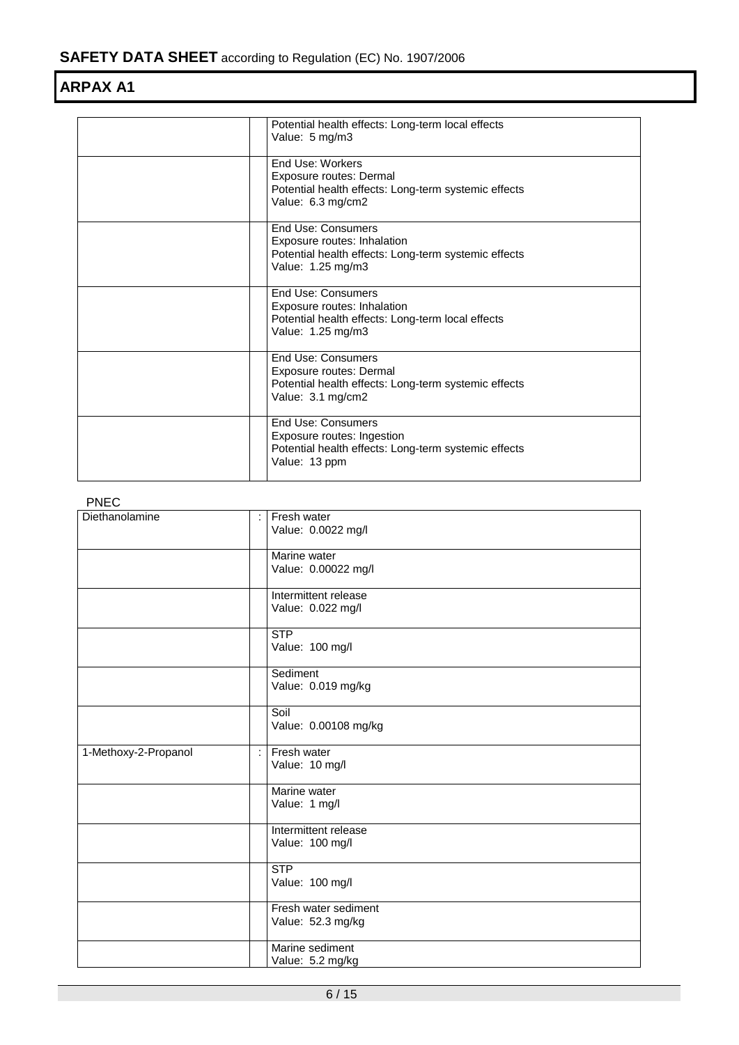| Potential health effects: Long-term local effects<br>Value: 5 mg/m3                                                              |
|----------------------------------------------------------------------------------------------------------------------------------|
| <b>End Use: Workers</b><br>Exposure routes: Dermal<br>Potential health effects: Long-term systemic effects<br>Value: 6.3 mg/cm2  |
| End Use: Consumers<br>Exposure routes: Inhalation<br>Potential health effects: Long-term systemic effects<br>Value: 1.25 mg/m3   |
| End Use: Consumers<br>Exposure routes: Inhalation<br>Potential health effects: Long-term local effects<br>Value: 1.25 mg/m3      |
| End Use: Consumers<br>Exposure routes: Dermal<br>Potential health effects: Long-term systemic effects<br>Value: 3.1 mg/cm2       |
| <b>End Use: Consumers</b><br>Exposure routes: Ingestion<br>Potential health effects: Long-term systemic effects<br>Value: 13 ppm |

### PNEC

| ,,,,,                |                                           |
|----------------------|-------------------------------------------|
| Diethanolamine       | Fresh water<br>÷<br>Value: 0.0022 mg/l    |
|                      | Marine water<br>Value: 0.00022 mg/l       |
|                      | Intermittent release<br>Value: 0.022 mg/l |
|                      | <b>STP</b><br>Value: 100 mg/l             |
|                      | Sediment<br>Value: 0.019 mg/kg            |
|                      | Soil<br>Value: 0.00108 mg/kg              |
| 1-Methoxy-2-Propanol | Fresh water<br>÷<br>Value: 10 mg/l        |
|                      | Marine water<br>Value: 1 mg/l             |
|                      | Intermittent release<br>Value: 100 mg/l   |
|                      | <b>STP</b><br>Value: 100 mg/l             |
|                      | Fresh water sediment<br>Value: 52.3 mg/kg |
|                      | Marine sediment<br>Value: 5.2 mg/kg       |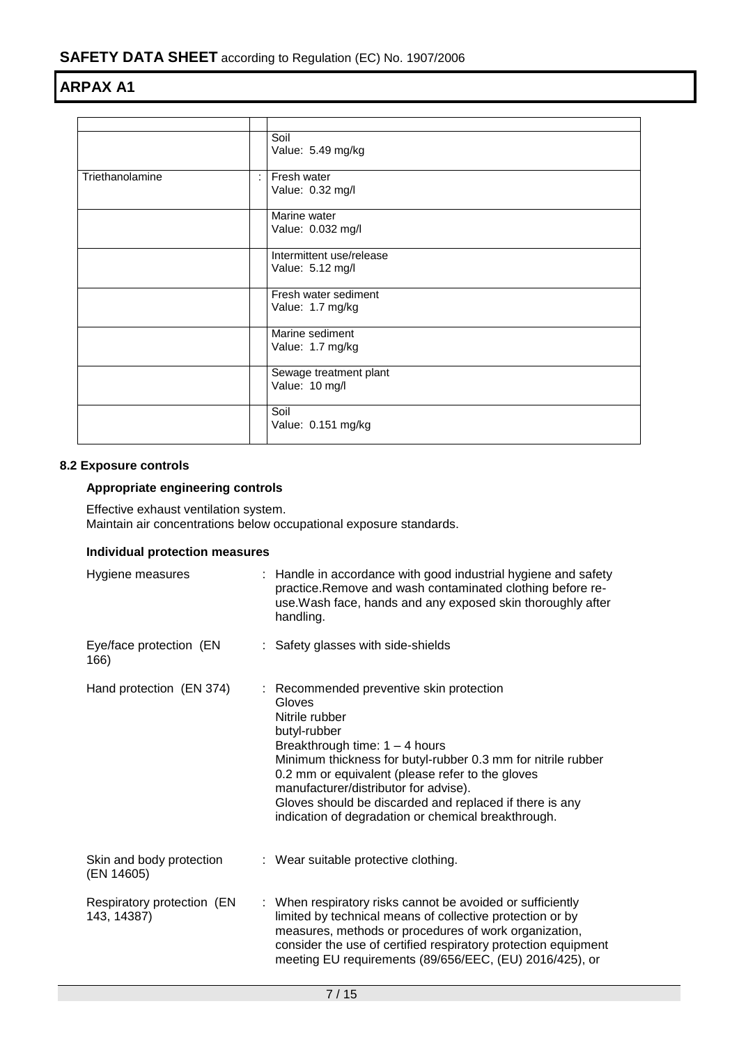|                 |    | Soil<br>Value: 5.49 mg/kg                    |
|-----------------|----|----------------------------------------------|
| Triethanolamine | ÷. | Fresh water<br>Value: 0.32 mg/l              |
|                 |    | Marine water<br>Value: 0.032 mg/l            |
|                 |    | Intermittent use/release<br>Value: 5.12 mg/l |
|                 |    | Fresh water sediment<br>Value: 1.7 mg/kg     |
|                 |    | Marine sediment<br>Value: 1.7 mg/kg          |
|                 |    | Sewage treatment plant<br>Value: 10 mg/l     |
|                 |    | Soil<br>Value: 0.151 mg/kg                   |

### **8.2 Exposure controls**

### **Appropriate engineering controls**

Effective exhaust ventilation system. Maintain air concentrations below occupational exposure standards.

### **Individual protection measures**

| Hygiene measures                          | : Handle in accordance with good industrial hygiene and safety<br>practice. Remove and wash contaminated clothing before re-<br>use. Wash face, hands and any exposed skin thoroughly after<br>handling.                                                                                                                                                                                                |
|-------------------------------------------|---------------------------------------------------------------------------------------------------------------------------------------------------------------------------------------------------------------------------------------------------------------------------------------------------------------------------------------------------------------------------------------------------------|
| Eye/face protection (EN<br>166)           | : Safety glasses with side-shields                                                                                                                                                                                                                                                                                                                                                                      |
| Hand protection (EN 374)                  | : Recommended preventive skin protection<br>Gloves<br>Nitrile rubber<br>butyl-rubber<br>Breakthrough time: $1 - 4$ hours<br>Minimum thickness for butyl-rubber 0.3 mm for nitrile rubber<br>0.2 mm or equivalent (please refer to the gloves<br>manufacturer/distributor for advise).<br>Gloves should be discarded and replaced if there is any<br>indication of degradation or chemical breakthrough. |
| Skin and body protection<br>(EN 14605)    | : Wear suitable protective clothing.                                                                                                                                                                                                                                                                                                                                                                    |
| Respiratory protection (EN<br>143, 14387) | : When respiratory risks cannot be avoided or sufficiently<br>limited by technical means of collective protection or by<br>measures, methods or procedures of work organization,<br>consider the use of certified respiratory protection equipment<br>meeting EU requirements (89/656/EEC, (EU) 2016/425), or                                                                                           |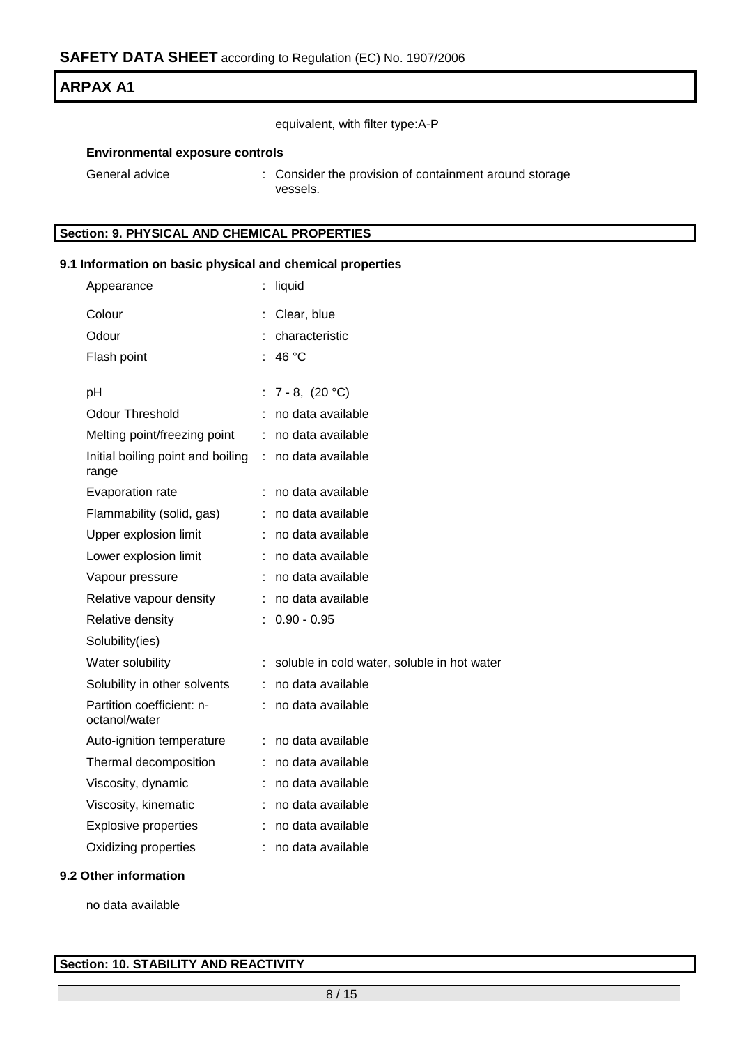equivalent, with filter type:A-P

### **Environmental exposure controls**

| General advice | : Consider the provision of containment around storage |
|----------------|--------------------------------------------------------|
|                | vessels.                                               |

### **Section: 9. PHYSICAL AND CHEMICAL PROPERTIES**

### **9.1 Information on basic physical and chemical properties**

| Appearance                                 |    | liquid                                      |
|--------------------------------------------|----|---------------------------------------------|
| Colour                                     |    | Clear, blue                                 |
| Odour                                      |    | characteristic                              |
| Flash point                                |    | 46 °C                                       |
|                                            |    |                                             |
| рH<br><b>Odour Threshold</b>               |    | : $7 - 8$ , $(20 °C)$                       |
|                                            |    | no data available                           |
| Melting point/freezing point               | ÷  | no data available                           |
| Initial boiling point and boiling<br>range | ÷. | no data available                           |
| Evaporation rate                           | ÷  | no data available                           |
| Flammability (solid, gas)                  |    | no data available                           |
| Upper explosion limit                      |    | no data available                           |
| Lower explosion limit                      | ÷  | no data available                           |
| Vapour pressure                            |    | no data available                           |
| Relative vapour density                    |    | no data available                           |
| Relative density                           |    | $0.90 - 0.95$                               |
| Solubility(ies)                            |    |                                             |
| Water solubility                           |    | soluble in cold water, soluble in hot water |
| Solubility in other solvents               | ÷. | no data available                           |
| Partition coefficient: n-<br>octanol/water | ÷  | no data available                           |
| Auto-ignition temperature                  | ÷  | no data available                           |
| Thermal decomposition                      | t. | no data available                           |
| Viscosity, dynamic                         |    | no data available                           |
| Viscosity, kinematic                       |    | no data available                           |
| <b>Explosive properties</b>                |    | no data available                           |
| Oxidizing properties                       |    | no data available                           |
|                                            |    |                                             |

### **9.2 Other information**

no data available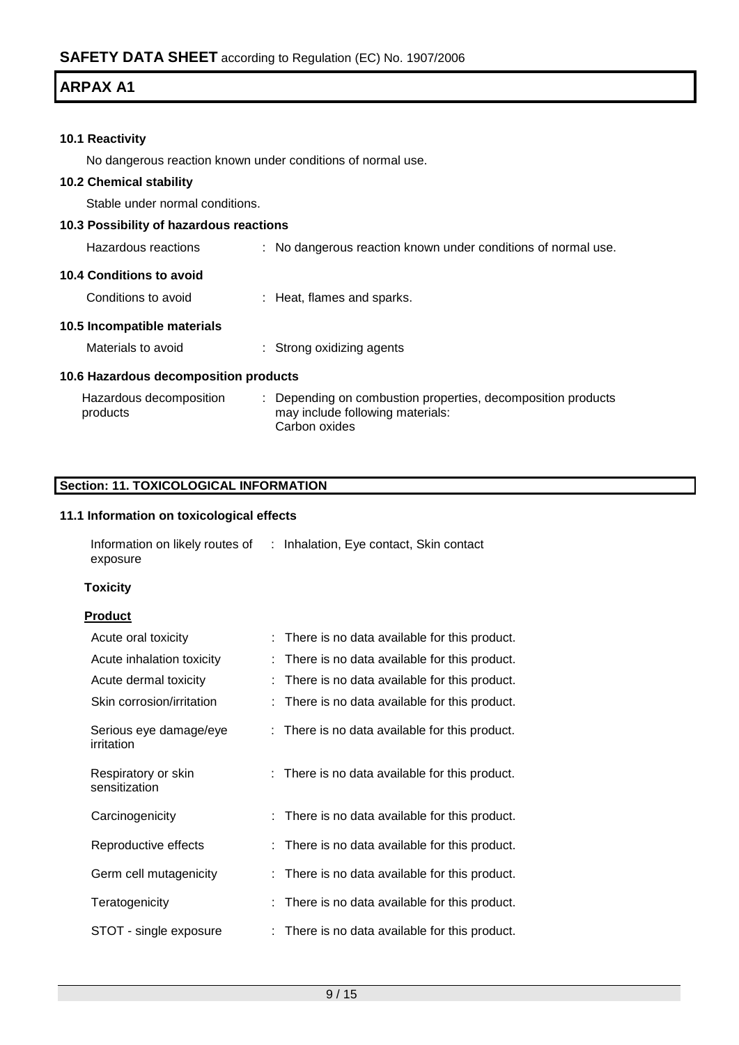### **10.1 Reactivity**

No dangerous reaction known under conditions of normal use.

### **10.2 Chemical stability**

Stable under normal conditions.

### **10.3 Possibility of hazardous reactions**

| Hazardous reactions | No dangerous reaction known under conditions of normal use. |  |  |  |
|---------------------|-------------------------------------------------------------|--|--|--|
|                     |                                                             |  |  |  |

#### **10.4 Conditions to avoid**

Conditions to avoid : Heat, flames and sparks.

### **10.5 Incompatible materials**

| Materials to avoid | Strong oxidizing agents |
|--------------------|-------------------------|
|--------------------|-------------------------|

### **10.6 Hazardous decomposition products**

| Hazardous decomposition | : Depending on combustion properties, decomposition products |
|-------------------------|--------------------------------------------------------------|
| products                | may include following materials:                             |
|                         | Carbon oxides                                                |

### **Section: 11. TOXICOLOGICAL INFORMATION**

### **11.1 Information on toxicological effects**

| Information on likely routes of | : Inhalation, Eye contact, Skin contact |
|---------------------------------|-----------------------------------------|
| exposure                        |                                         |

#### **Toxicity**

### **Product**

| Acute oral toxicity                  | : There is no data available for this product. |
|--------------------------------------|------------------------------------------------|
| Acute inhalation toxicity            | There is no data available for this product.   |
| Acute dermal toxicity                | There is no data available for this product.   |
| Skin corrosion/irritation            | : There is no data available for this product. |
| Serious eye damage/eye<br>irritation | : There is no data available for this product. |
| Respiratory or skin<br>sensitization | : There is no data available for this product. |
| Carcinogenicity                      | : There is no data available for this product. |
| Reproductive effects                 | : There is no data available for this product. |
| Germ cell mutagenicity               | : There is no data available for this product. |
| Teratogenicity                       | There is no data available for this product.   |
| STOT - single exposure               | : There is no data available for this product. |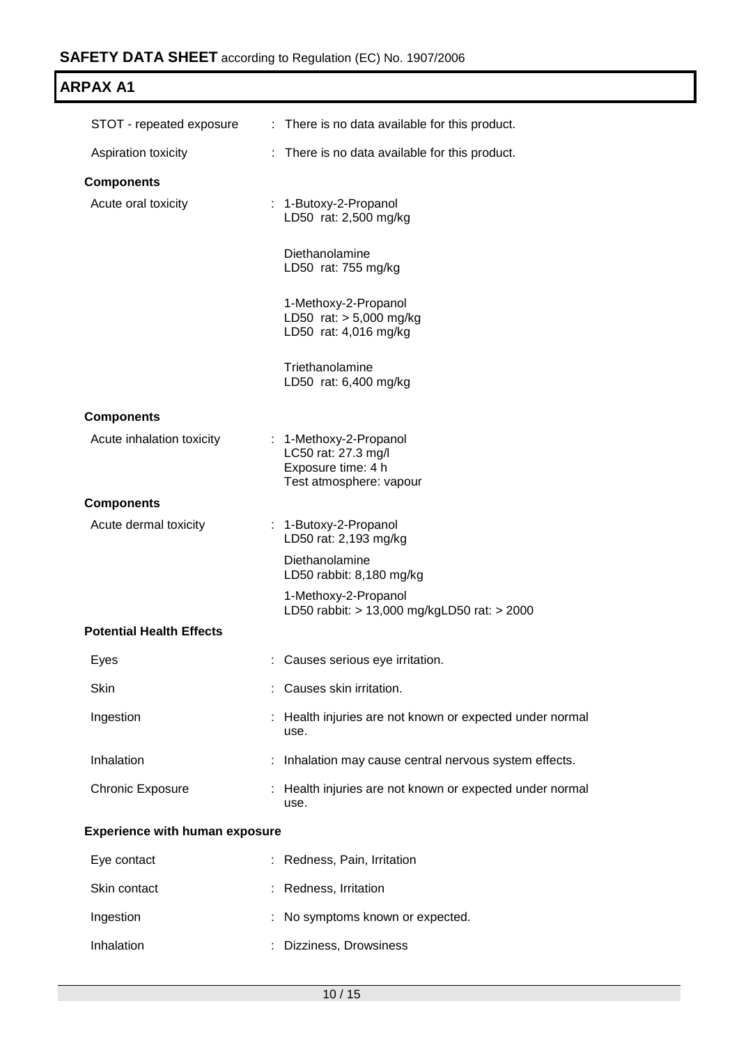| <b>ARPAX A1</b>                       |                                                                                              |
|---------------------------------------|----------------------------------------------------------------------------------------------|
| STOT - repeated exposure              | : There is no data available for this product.                                               |
| Aspiration toxicity                   | : There is no data available for this product.                                               |
| <b>Components</b>                     |                                                                                              |
| Acute oral toxicity                   | 1-Butoxy-2-Propanol<br>LD50 rat: 2,500 mg/kg                                                 |
|                                       | Diethanolamine<br>LD50 rat: 755 mg/kg                                                        |
|                                       | 1-Methoxy-2-Propanol<br>LD50 rat: > 5,000 mg/kg<br>LD50 rat: 4,016 mg/kg                     |
|                                       | Triethanolamine<br>LD50 rat: 6,400 mg/kg                                                     |
| <b>Components</b>                     |                                                                                              |
| Acute inhalation toxicity             | 1-Methoxy-2-Propanol<br>LC50 rat: 27.3 mg/l<br>Exposure time: 4 h<br>Test atmosphere: vapour |
| <b>Components</b>                     |                                                                                              |
| Acute dermal toxicity                 | : 1-Butoxy-2-Propanol<br>LD50 rat: 2,193 mg/kg                                               |
|                                       | Diethanolamine<br>LD50 rabbit: 8,180 mg/kg                                                   |
|                                       | 1-Methoxy-2-Propanol<br>LD50 rabbit: > 13,000 mg/kgLD50 rat: > 2000                          |
| <b>Potential Health Effects</b>       |                                                                                              |
| Eyes                                  | : Causes serious eye irritation.                                                             |
| Skin                                  | Causes skin irritation.                                                                      |
| Ingestion                             | Health injuries are not known or expected under normal<br>use.                               |
| Inhalation                            | : Inhalation may cause central nervous system effects.                                       |
| <b>Chronic Exposure</b>               | Health injuries are not known or expected under normal<br>use.                               |
| <b>Experience with human exposure</b> |                                                                                              |
| Eye contact                           | : Redness, Pain, Irritation                                                                  |
| Skin contact                          | : Redness, Irritation                                                                        |

| Ingestion  | : No symptoms known or expected. |
|------------|----------------------------------|
| Inhalation | : Dizziness, Drowsiness          |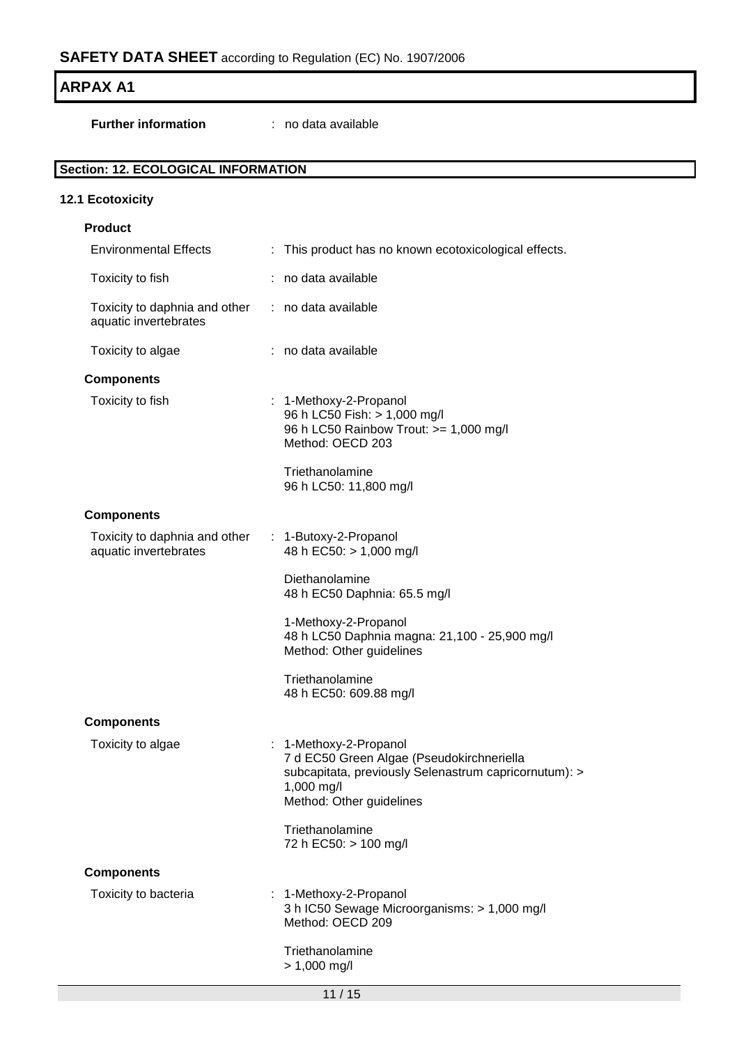| <b>ARPAX A1</b>                                        |                                                                                                                                                                        |
|--------------------------------------------------------|------------------------------------------------------------------------------------------------------------------------------------------------------------------------|
| <b>Further information</b>                             | : no data available                                                                                                                                                    |
| <b>Section: 12. ECOLOGICAL INFORMATION</b>             |                                                                                                                                                                        |
| 12.1 Ecotoxicity                                       |                                                                                                                                                                        |
| <b>Product</b>                                         |                                                                                                                                                                        |
| <b>Environmental Effects</b>                           | : This product has no known ecotoxicological effects.                                                                                                                  |
| Toxicity to fish                                       | : no data available                                                                                                                                                    |
| Toxicity to daphnia and other<br>aquatic invertebrates | : no data available                                                                                                                                                    |
| Toxicity to algae                                      | : no data available                                                                                                                                                    |
| <b>Components</b>                                      |                                                                                                                                                                        |
| Toxicity to fish                                       | : 1-Methoxy-2-Propanol<br>96 h LC50 Fish: > 1,000 mg/l<br>96 h LC50 Rainbow Trout: >= 1,000 mg/l<br>Method: OECD 203                                                   |
|                                                        | Triethanolamine<br>96 h LC50: 11,800 mg/l                                                                                                                              |
| <b>Components</b>                                      |                                                                                                                                                                        |
| Toxicity to daphnia and other<br>aquatic invertebrates | 1-Butoxy-2-Propanol<br>÷<br>48 h EC50: > 1,000 mg/l                                                                                                                    |
|                                                        | Diethanolamine<br>48 h EC50 Daphnia: 65.5 mg/l                                                                                                                         |
|                                                        | 1-Methoxy-2-Propanol<br>48 h LC50 Daphnia magna: 21,100 - 25,900 mg/l<br>Method: Other guidelines                                                                      |
|                                                        | Triethanolamine<br>48 h EC50: 609.88 mg/l                                                                                                                              |
| <b>Components</b>                                      |                                                                                                                                                                        |
| Toxicity to algae                                      | : 1-Methoxy-2-Propanol<br>7 d EC50 Green Algae (Pseudokirchneriella<br>subcapitata, previously Selenastrum capricornutum): ><br>1,000 mg/l<br>Method: Other guidelines |
|                                                        | Triethanolamine<br>72 h EC50: > 100 mg/l                                                                                                                               |
| <b>Components</b>                                      |                                                                                                                                                                        |
| Toxicity to bacteria                                   | : 1-Methoxy-2-Propanol<br>3 h IC50 Sewage Microorganisms: > 1,000 mg/l<br>Method: OECD 209                                                                             |
|                                                        | Triethanolamine<br>$> 1,000$ mg/l                                                                                                                                      |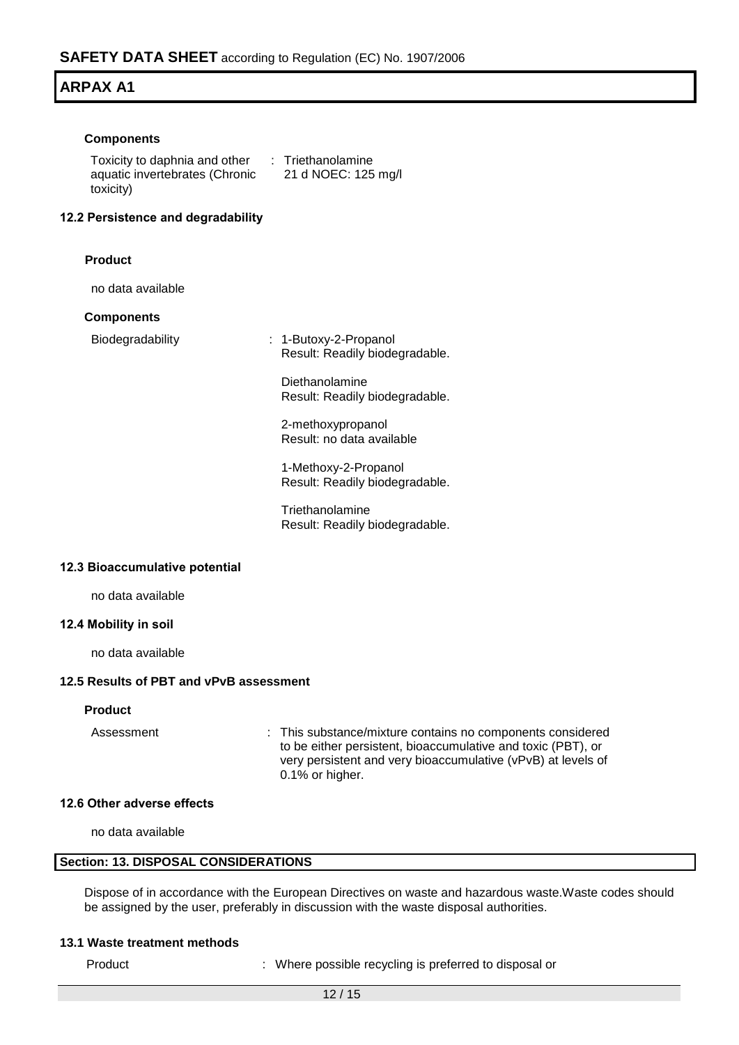#### **Components**

Toxicity to daphnia and other : Triethanolamine aquatic invertebrates (Chronic toxicity) 21 d NOEC: 125 mg/l

#### **12.2 Persistence and degradability**

#### **Product**

no data available

#### **Components**

Biodegradability : 1-Butoxy-2-Propanol Result: Readily biodegradable.

> Diethanolamine Result: Readily biodegradable.

2-methoxypropanol Result: no data available

1-Methoxy-2-Propanol Result: Readily biodegradable.

**Triethanolamine** Result: Readily biodegradable.

#### **12.3 Bioaccumulative potential**

no data available

#### **12.4 Mobility in soil**

no data available

#### **12.5 Results of PBT and vPvB assessment**

#### **Product**

Assessment : This substance/mixture contains no components considered to be either persistent, bioaccumulative and toxic (PBT), or very persistent and very bioaccumulative (vPvB) at levels of 0.1% or higher.

#### **12.6 Other adverse effects**

no data available

#### **Section: 13. DISPOSAL CONSIDERATIONS**

Dispose of in accordance with the European Directives on waste and hazardous waste.Waste codes should be assigned by the user, preferably in discussion with the waste disposal authorities.

#### **13.1 Waste treatment methods**

Product : Where possible recycling is preferred to disposal or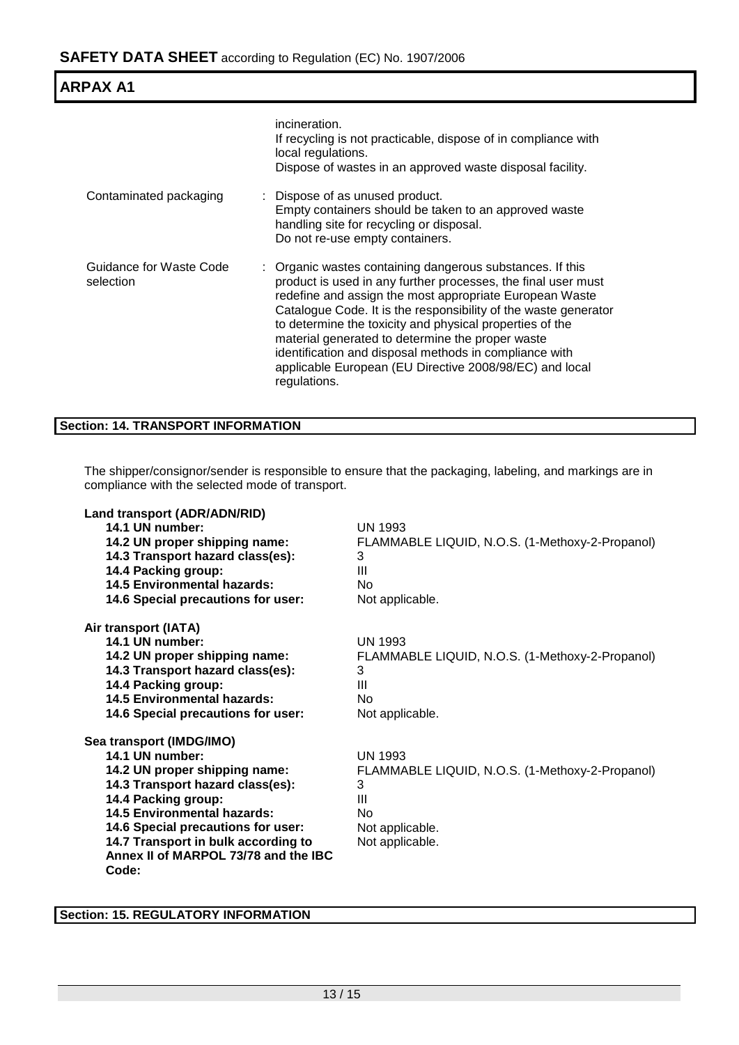| <b>ARPAX A1</b>                      |                                                                                                                                                                                                                                                                                                                                                                                                                                                                                                               |
|--------------------------------------|---------------------------------------------------------------------------------------------------------------------------------------------------------------------------------------------------------------------------------------------------------------------------------------------------------------------------------------------------------------------------------------------------------------------------------------------------------------------------------------------------------------|
|                                      | incineration.<br>If recycling is not practicable, dispose of in compliance with<br>local regulations.<br>Dispose of wastes in an approved waste disposal facility.                                                                                                                                                                                                                                                                                                                                            |
| Contaminated packaging               | : Dispose of as unused product.<br>Empty containers should be taken to an approved waste<br>handling site for recycling or disposal.<br>Do not re-use empty containers.                                                                                                                                                                                                                                                                                                                                       |
| Guidance for Waste Code<br>selection | : Organic wastes containing dangerous substances. If this<br>product is used in any further processes, the final user must<br>redefine and assign the most appropriate European Waste<br>Catalogue Code. It is the responsibility of the waste generator<br>to determine the toxicity and physical properties of the<br>material generated to determine the proper waste<br>identification and disposal methods in compliance with<br>applicable European (EU Directive 2008/98/EC) and local<br>regulations. |

### **Section: 14. TRANSPORT INFORMATION**

The shipper/consignor/sender is responsible to ensure that the packaging, labeling, and markings are in compliance with the selected mode of transport.

| Land transport (ADR/ADN/RID)<br>14.1 UN number:         | <b>UN 1993</b>                                  |
|---------------------------------------------------------|-------------------------------------------------|
| 14.2 UN proper shipping name:                           | FLAMMABLE LIQUID, N.O.S. (1-Methoxy-2-Propanol) |
| 14.3 Transport hazard class(es):<br>14.4 Packing group: | 3<br>Ш                                          |
| <b>14.5 Environmental hazards:</b>                      | No                                              |
| 14.6 Special precautions for user:                      | Not applicable.                                 |
| Air transport (IATA)                                    |                                                 |
| 14.1 UN number:                                         | <b>UN 1993</b>                                  |
| 14.2 UN proper shipping name:                           | FLAMMABLE LIQUID, N.O.S. (1-Methoxy-2-Propanol) |
| 14.3 Transport hazard class(es):                        | 3                                               |
| 14.4 Packing group:                                     | $\mathbf{III}$                                  |
| <b>14.5 Environmental hazards:</b>                      | No                                              |
| 14.6 Special precautions for user:                      | Not applicable.                                 |
| Sea transport (IMDG/IMO)                                |                                                 |
| 14.1 UN number:                                         | <b>UN 1993</b>                                  |
| 14.2 UN proper shipping name:                           | FLAMMABLE LIQUID, N.O.S. (1-Methoxy-2-Propanol) |
| 14.3 Transport hazard class(es):                        | 3                                               |
| 14.4 Packing group:                                     | Ш                                               |
| 14.5 Environmental hazards:                             | No                                              |
| 14.6 Special precautions for user:                      | Not applicable.                                 |
| 14.7 Transport in bulk according to                     | Not applicable.                                 |
| Annex II of MARPOL 73/78 and the IBC                    |                                                 |
| Code:                                                   |                                                 |

**Section: 15. REGULATORY INFORMATION**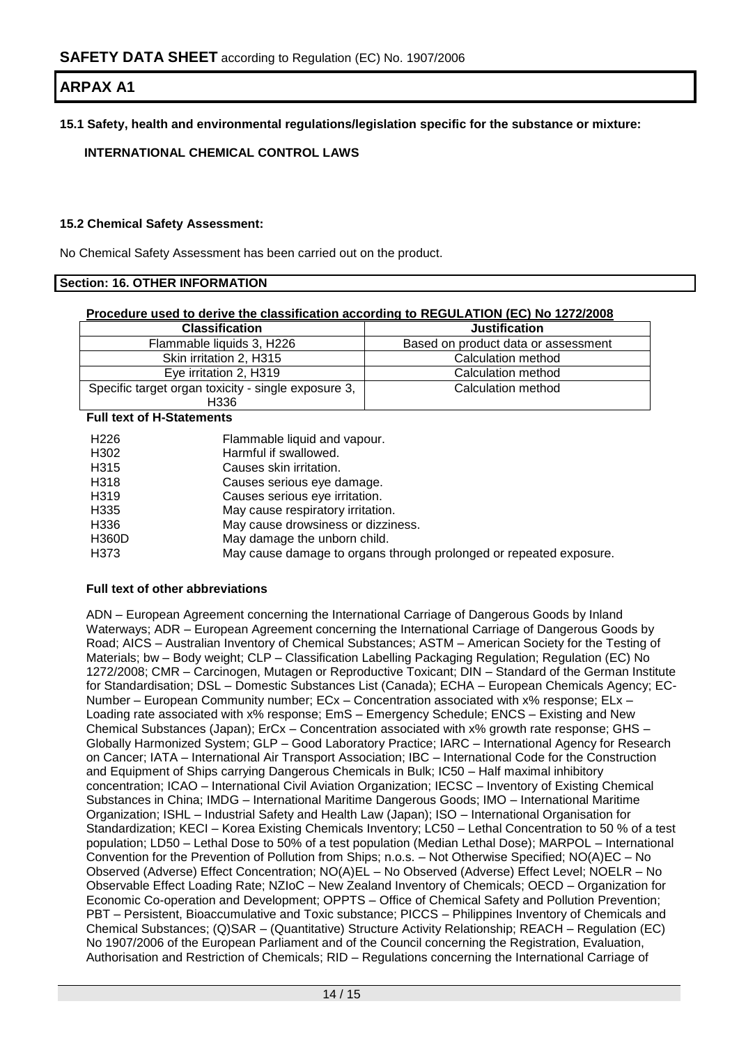**15.1 Safety, health and environmental regulations/legislation specific for the substance or mixture:**

### **INTERNATIONAL CHEMICAL CONTROL LAWS**

### **15.2 Chemical Safety Assessment:**

No Chemical Safety Assessment has been carried out on the product.

### **Section: 16. OTHER INFORMATION**

#### **Procedure used to derive the classification according to REGULATION (EC) No 1272/2008**

| <b>Classification</b>                               | <b>Justification</b>                |
|-----------------------------------------------------|-------------------------------------|
| Flammable liquids 3, H226                           | Based on product data or assessment |
| Skin irritation 2, H315                             | Calculation method                  |
| Eye irritation 2, H319                              | Calculation method                  |
| Specific target organ toxicity - single exposure 3, | Calculation method                  |
| H336                                                |                                     |

### **Full text of H-Statements**

| H <sub>226</sub>  | Flammable liquid and vapour.                                       |
|-------------------|--------------------------------------------------------------------|
| H302              | Harmful if swallowed.                                              |
| H315              | Causes skin irritation.                                            |
| H318              | Causes serious eye damage.                                         |
| H <sub>3</sub> 19 | Causes serious eye irritation.                                     |
| H <sub>335</sub>  | May cause respiratory irritation.                                  |
| H336              | May cause drowsiness or dizziness.                                 |
| <b>H360D</b>      | May damage the unborn child.                                       |
| H373              | May cause damage to organs through prolonged or repeated exposure. |

#### **Full text of other abbreviations**

ADN – European Agreement concerning the International Carriage of Dangerous Goods by Inland Waterways; ADR – European Agreement concerning the International Carriage of Dangerous Goods by Road; AICS – Australian Inventory of Chemical Substances; ASTM – American Society for the Testing of Materials; bw – Body weight; CLP – Classification Labelling Packaging Regulation; Regulation (EC) No 1272/2008; CMR – Carcinogen, Mutagen or Reproductive Toxicant; DIN – Standard of the German Institute for Standardisation; DSL – Domestic Substances List (Canada); ECHA – European Chemicals Agency; EC-Number – European Community number; ECx – Concentration associated with x% response; ELx – Loading rate associated with x% response; EmS – Emergency Schedule; ENCS – Existing and New Chemical Substances (Japan); ErCx – Concentration associated with x% growth rate response; GHS – Globally Harmonized System; GLP – Good Laboratory Practice; IARC – International Agency for Research on Cancer; IATA – International Air Transport Association; IBC – International Code for the Construction and Equipment of Ships carrying Dangerous Chemicals in Bulk; IC50 – Half maximal inhibitory concentration; ICAO – International Civil Aviation Organization; IECSC – Inventory of Existing Chemical Substances in China; IMDG – International Maritime Dangerous Goods; IMO – International Maritime Organization; ISHL – Industrial Safety and Health Law (Japan); ISO – International Organisation for Standardization; KECI – Korea Existing Chemicals Inventory; LC50 – Lethal Concentration to 50 % of a test population; LD50 – Lethal Dose to 50% of a test population (Median Lethal Dose); MARPOL – International Convention for the Prevention of Pollution from Ships; n.o.s. – Not Otherwise Specified; NO(A)EC – No Observed (Adverse) Effect Concentration; NO(A)EL – No Observed (Adverse) Effect Level; NOELR – No Observable Effect Loading Rate; NZIoC – New Zealand Inventory of Chemicals; OECD – Organization for Economic Co-operation and Development; OPPTS – Office of Chemical Safety and Pollution Prevention; PBT – Persistent, Bioaccumulative and Toxic substance; PICCS – Philippines Inventory of Chemicals and Chemical Substances; (Q)SAR – (Quantitative) Structure Activity Relationship; REACH – Regulation (EC) No 1907/2006 of the European Parliament and of the Council concerning the Registration, Evaluation, Authorisation and Restriction of Chemicals; RID – Regulations concerning the International Carriage of